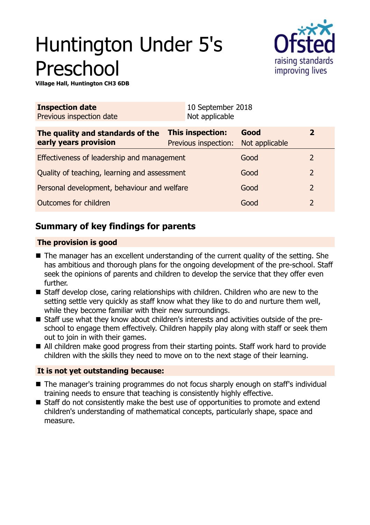# Huntington Under 5's Preschool



**Village Hall, Huntington CH3 6DB**

| Not applicable                               |                        |                                           |  |
|----------------------------------------------|------------------------|-------------------------------------------|--|
| This inspection:<br>Previous inspection:     | Good<br>Not applicable | $\overline{2}$                            |  |
| Effectiveness of leadership and management   |                        | 2                                         |  |
| Quality of teaching, learning and assessment |                        | 2                                         |  |
| Personal development, behaviour and welfare  |                        | $\overline{2}$                            |  |
|                                              | Good                   | 2                                         |  |
|                                              |                        | 10 September 2018<br>Good<br>Good<br>Good |  |

## **Summary of key findings for parents**

## **The provision is good**

- $\blacksquare$  The manager has an excellent understanding of the current quality of the setting. She has ambitious and thorough plans for the ongoing development of the pre-school. Staff seek the opinions of parents and children to develop the service that they offer even further.
- $\blacksquare$  Staff develop close, caring relationships with children. Children who are new to the setting settle very quickly as staff know what they like to do and nurture them well, while they become familiar with their new surroundings.
- Staff use what they know about children's interests and activities outside of the preschool to engage them effectively. Children happily play along with staff or seek them out to join in with their games.
- All children make good progress from their starting points. Staff work hard to provide children with the skills they need to move on to the next stage of their learning.

## **It is not yet outstanding because:**

- The manager's training programmes do not focus sharply enough on staff's individual training needs to ensure that teaching is consistently highly effective.
- Staff do not consistently make the best use of opportunities to promote and extend children's understanding of mathematical concepts, particularly shape, space and measure.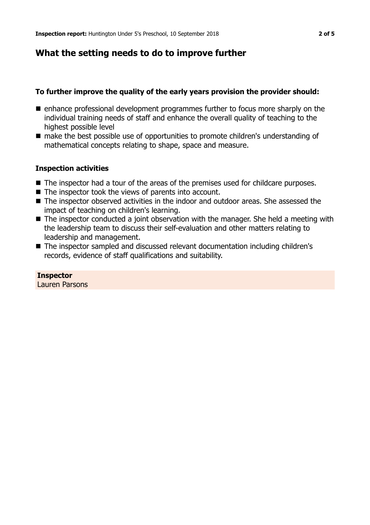## **What the setting needs to do to improve further**

## **To further improve the quality of the early years provision the provider should:**

- $\blacksquare$  enhance professional development programmes further to focus more sharply on the individual training needs of staff and enhance the overall quality of teaching to the highest possible level
- make the best possible use of opportunities to promote children's understanding of mathematical concepts relating to shape, space and measure.

## **Inspection activities**

- The inspector had a tour of the areas of the premises used for childcare purposes.
- $\blacksquare$  The inspector took the views of parents into account.
- The inspector observed activities in the indoor and outdoor areas. She assessed the impact of teaching on children's learning.
- The inspector conducted a joint observation with the manager. She held a meeting with the leadership team to discuss their self-evaluation and other matters relating to leadership and management.
- The inspector sampled and discussed relevant documentation including children's records, evidence of staff qualifications and suitability.

**Inspector** Lauren Parsons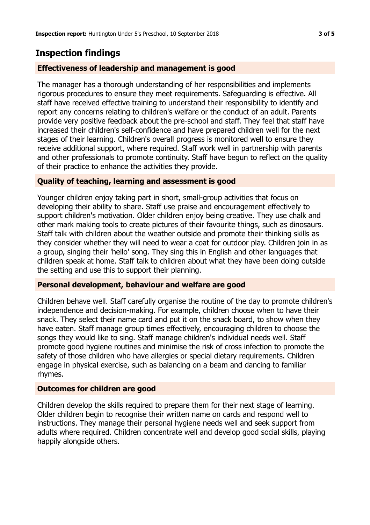## **Inspection findings**

## **Effectiveness of leadership and management is good**

The manager has a thorough understanding of her responsibilities and implements rigorous procedures to ensure they meet requirements. Safeguarding is effective. All staff have received effective training to understand their responsibility to identify and report any concerns relating to children's welfare or the conduct of an adult. Parents provide very positive feedback about the pre-school and staff. They feel that staff have increased their children's self-confidence and have prepared children well for the next stages of their learning. Children's overall progress is monitored well to ensure they receive additional support, where required. Staff work well in partnership with parents and other professionals to promote continuity. Staff have begun to reflect on the quality of their practice to enhance the activities they provide.

## **Quality of teaching, learning and assessment is good**

Younger children enjoy taking part in short, small-group activities that focus on developing their ability to share. Staff use praise and encouragement effectively to support children's motivation. Older children enjoy being creative. They use chalk and other mark making tools to create pictures of their favourite things, such as dinosaurs. Staff talk with children about the weather outside and promote their thinking skills as they consider whether they will need to wear a coat for outdoor play. Children join in as a group, singing their 'hello' song. They sing this in English and other languages that children speak at home. Staff talk to children about what they have been doing outside the setting and use this to support their planning.

#### **Personal development, behaviour and welfare are good**

Children behave well. Staff carefully organise the routine of the day to promote children's independence and decision-making. For example, children choose when to have their snack. They select their name card and put it on the snack board, to show when they have eaten. Staff manage group times effectively, encouraging children to choose the songs they would like to sing. Staff manage children's individual needs well. Staff promote good hygiene routines and minimise the risk of cross infection to promote the safety of those children who have allergies or special dietary requirements. Children engage in physical exercise, such as balancing on a beam and dancing to familiar rhymes.

#### **Outcomes for children are good**

Children develop the skills required to prepare them for their next stage of learning. Older children begin to recognise their written name on cards and respond well to instructions. They manage their personal hygiene needs well and seek support from adults where required. Children concentrate well and develop good social skills, playing happily alongside others.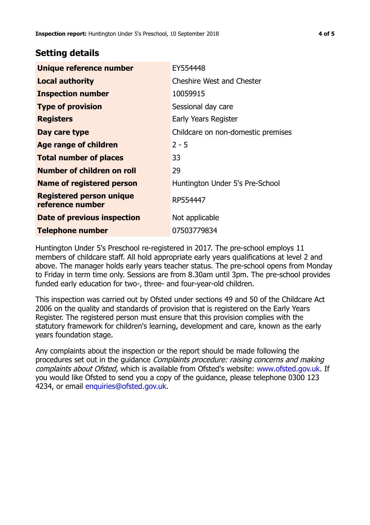## **Setting details**

| Unique reference number                             | EY554448                           |  |
|-----------------------------------------------------|------------------------------------|--|
| <b>Local authority</b>                              | <b>Cheshire West and Chester</b>   |  |
| <b>Inspection number</b>                            | 10059915                           |  |
| <b>Type of provision</b>                            | Sessional day care                 |  |
| <b>Registers</b>                                    | Early Years Register               |  |
| Day care type                                       | Childcare on non-domestic premises |  |
| Age range of children                               | $2 - 5$                            |  |
| <b>Total number of places</b>                       | 33                                 |  |
| Number of children on roll                          | 29                                 |  |
| Name of registered person                           | Huntington Under 5's Pre-School    |  |
| <b>Registered person unique</b><br>reference number | RP554447                           |  |
| Date of previous inspection                         | Not applicable                     |  |
| <b>Telephone number</b>                             | 07503779834                        |  |

Huntington Under 5's Preschool re-registered in 2017. The pre-school employs 11 members of childcare staff. All hold appropriate early years qualifications at level 2 and above. The manager holds early years teacher status. The pre-school opens from Monday to Friday in term time only. Sessions are from 8.30am until 3pm. The pre-school provides funded early education for two-, three- and four-year-old children.

This inspection was carried out by Ofsted under sections 49 and 50 of the Childcare Act 2006 on the quality and standards of provision that is registered on the Early Years Register. The registered person must ensure that this provision complies with the statutory framework for children's learning, development and care, known as the early years foundation stage.

Any complaints about the inspection or the report should be made following the procedures set out in the quidance *Complaints procedure: raising concerns and making* complaints about Ofsted, which is available from Ofsted's website: www.ofsted.gov.uk. If you would like Ofsted to send you a copy of the guidance, please telephone 0300 123 4234, or email [enquiries@ofsted.gov.uk.](mailto:enquiries@ofsted.gov.uk)